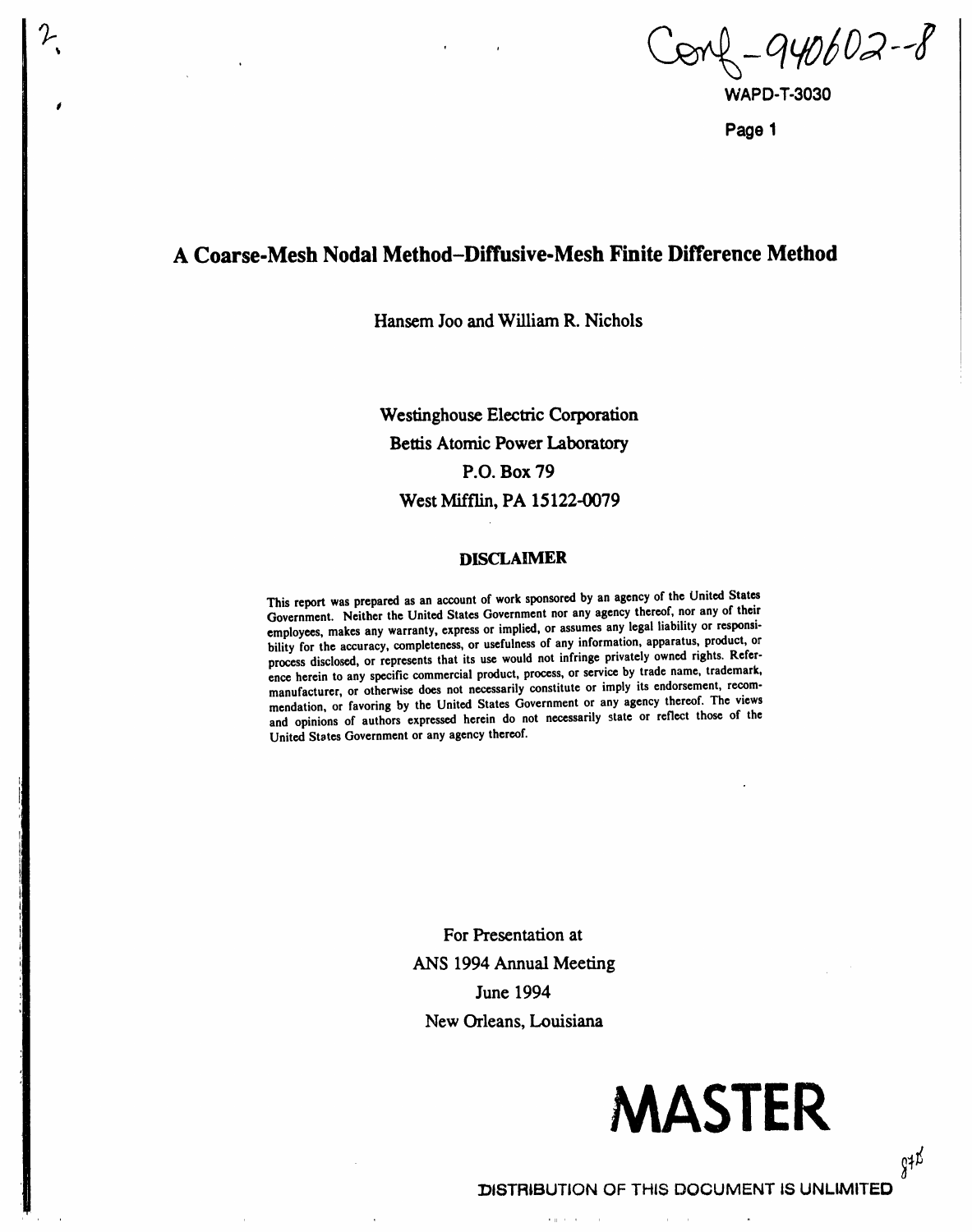$3 - 940602 - 8$ 

**Pag**e **1**

## A Coarse-Mesh Nodal Method-Diffusive-Mesh Finite Difference Method

i

Hanse**m** Jo**o a**nd William **R**. Ni**c**h**o**l**s**

W**es**t**inghouse E**l**ec**t**ric Corporation Bettis** A**tom**i**c Po**w**er Labo**ra**tory P.**O**. Box** 7**9 West M**i**ffl**i**n, PA** 1**5**1**22-430**7**9**

#### **DISCLAIMER**

This reportwas prepared **as an account of work s**po**nsoredby an agency of the Unit**ed **States** G**overn**m**ent. Neither the Unit**ed **States Government nor any agencyther**e**of, nor any of their e**m**ploy**ees**, makes any warranty, expressor i**m**pli**ed**, or assumesany legal liability or res**po**nsibility for the accuracy, completeness,or usefulnessof any information, apparatus, product, or process disclo**se**d, or repre**se**nts that its u**se **would not infringe privately own**ed **rights. Reference herein to any sp**ec**i**fi**c co**mm**ercial pr**od**uct, process,or serviceby trade name, trademark, manufacturer, or otherwi**se **does not necessarily** co**nstitute or imply its endorsement, recommendation, or favoring by the Unit**ed **States Government or any agency thereof. The views and opinions of authors expres**se**d herein do not necessarily** s**tate or reflect tho**se **of the Unit**ed **St**a**tes** G**overnment or any agency ther**e**of.**

> For Presentati**on a**t ANS 199**4** Annual Me**e**ting Jun**e** 199**4** N**e**w Orle**a**n**s**, Louisian**a**

> > $\mathbf{r} \in \mathbb{R}^{n \times d}$  .

 $\sim 10^{-1}$ 

# MASTER

 $\overline{a}$ 

 $g \sharp \nmid \vec{b}$ 

DI**STR**I**BU**T**I**O**N** OF TH**IS DOCU**M**EN**T I**S U**N**LIMITED** $\alpha$  -  $\alpha$  -  $\alpha$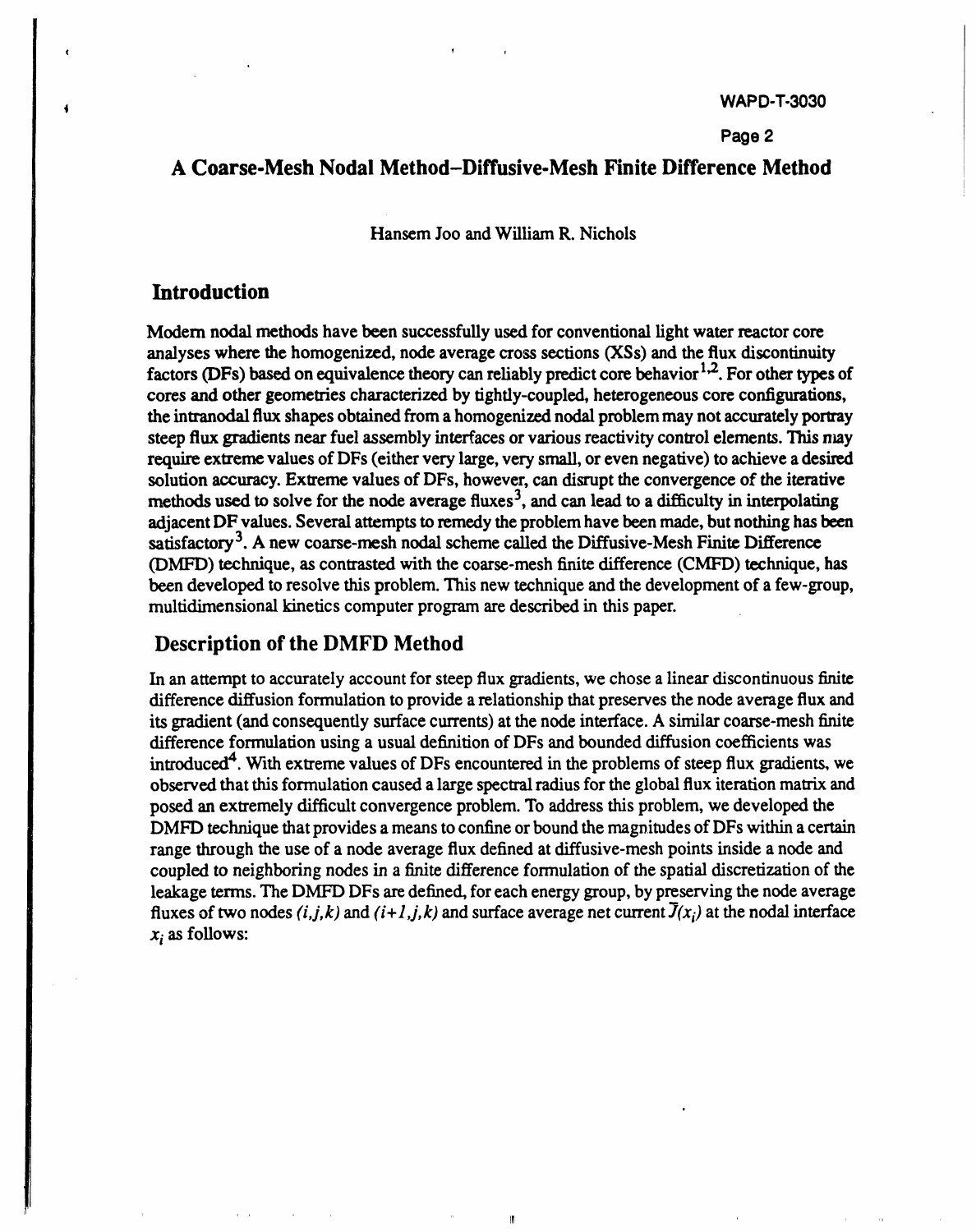#### **Page 2**

## A Coarse*-***Mesh Nodal Method-Diffusive***-***Mesh Finite Difference Method**

Hansem **J**o**o**an**d W**ill**ia**m **R.**N**ich**ol**s**

## Intro**ducti**o**n**

ċ

Modern nodal methods have been successfully used for conventional light water reactor core **a**nal**yseswheret**h**eh**omo**ge**niz**ed,**nod**ea**v**e**r**agecr**o**s**s**sect**ion(X**s Ss**)**a**nd**t**h**eflux**dis**co**ntinui**t**y factors (DFs) based on equivalence theory can reliably predict core behavior<sup>1,2</sup>. For other types of cores and other geometries characterized by tightly-coupled, heterogeneous core configurations, **the** intranodal flux shapes obtained from a homogenized nodal problem may not accurately portray steep flux gradients near fuel assembly interfaces or various reactivity control elements. This may require extreme values of DFs (either very large, very small, or even negative) to achieve a desired solution accuracy. Extreme values of DFs, however, can disrupt the convergence of the iterative methods used to solve for the node average fluxes<sup>3</sup>, and can lead to a difficulty in interpolating adjacent DF values. Several attempts to remedy the problem have been made, but nothing has been satisfactory<sup>3</sup>. A new coarse-mesh nodal scheme called the Diffusive-Mesh Finite Difference **(DMFD) technique**, as contrasted with the coarse-mesh finite difference (CMFD) **technique**, has b**ee**nd**e**v**e**lop**e**d**t**or**e**solv**te**hisp**r**obl**em**This . n**e**w **tec**hniqu**ae**ndth**e**d**c**v**c**lo**pr**n**c**on**ftafe**w-g**r**oup, **multidimensional kinetics computer program are described in this paper.** 

## D**e**s**c**r**i**p**ti**ono**fthe**D**M**FD **Met**hod

In an attempt to accurately account for steep flux gradients, we chose a linear discontinuous finite difference diffusion formulation to provide a relationship that preserves the node average flux and its gradient (and consequently surface currents) at the node interface. A similar coarse-mesh finite di**ffe**r**e**n**fce**ormul**a**tionusing**a**usuald**e**fini**t**ion o**f**D**F**s andboundeddi**ff**usion**c**o**effic**i**e**wn**at**s introduced<sup>4</sup>. With extreme values of DFs encountered in the problems of steep flux gradients, we observedth**att**his**f**or**m**ul**a**tion**ca**used**a**l**a**rgs**epec**tralr**a**dius**f**orth**e**global**fl**uxiter**at**ion **ma**tri**xa**nd posed an extremely difficult convergence problem. To address this problem, we developed the **DMFD technique** that provides a means to confine or bound the magnitudes of DFs within a certain r**a**n**get**h**r**oughth**e**us**e**o**fa** nod**ea**v**era**g**efl**uxd**efi**n**eda**tdi**ff**usiv**e**-**me**points sh insid**ae**nod**e**and coupled to neighboring nodes in a finite difference formulation of the spatial discretization of the leakage terms. The DMFD DFs are defined, for each energy group, by preserving the node average **fluxes** of two nodes (i,j,k) and (i+1,j,k) and surface average net current  $\overline{J}(x_i)$  at the nodal interface  $x_i$  as follows:

 $\mathbf{I}$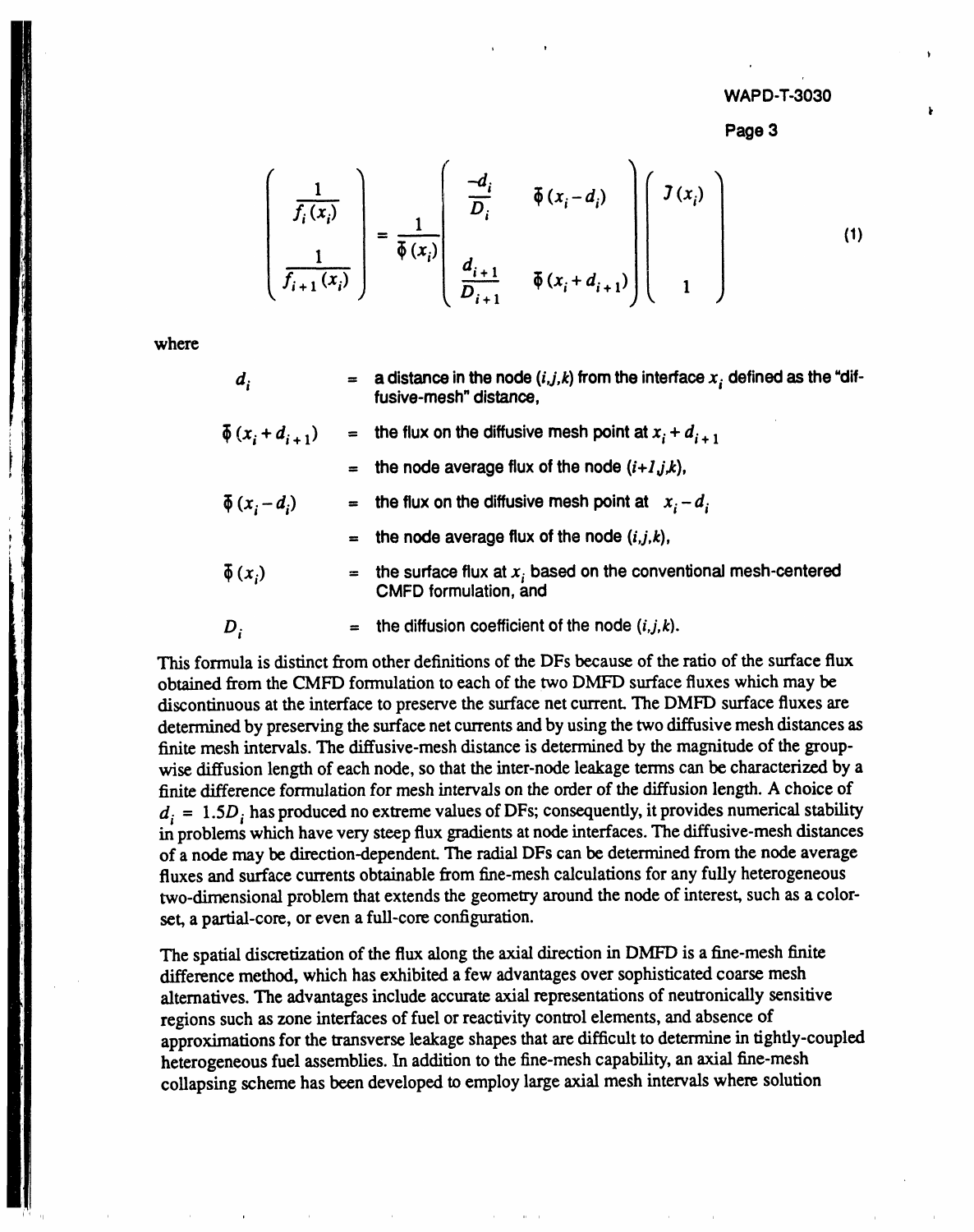Page 3

$$
\left(\frac{1}{f_i(x_i)}\right) = \frac{1}{\overline{\phi}(x_i)} \left(\begin{array}{cc} \frac{-d_i}{D_i} & \overline{\phi}(x_i - d_i) \\ \frac{1}{D_{i+1}} & \overline{\phi}(x_i + d_{i+1}) \end{array}\right) \left(\begin{array}{c} J(x_i) \\ \overline{I(x_i)} \end{array}\right) \qquad (1)
$$

where

- $\boldsymbol{d}_i$ a distance in the node  $(i,j,k)$  from the interface  $x_i$  defined as the "diffusive-mesh" distance.
- $\bar{\phi}\left(x_i+d_{i+1}\right)$ the flux on the diffusive mesh point at  $x_i + d_{i+1}$ the node average flux of the node  $(i+1, j, k)$ ,  $\bar{\phi}$   $(x_i - d_i)$ the flux on the diffusive mesh point at  $x_i - d_i$ the node average flux of the node  $(i,j,k)$ ,  $\bar{\phi}(x_i)$ the surface flux at  $x_i$  based on the conventional mesh-centered **CMFD** formulation, and

the diffusion coefficient of the node  $(i, j, k)$ .  $D_i$ 

This formula is distinct from other definitions of the DFs because of the ratio of the surface flux obtained from the CMFD formulation to each of the two DMFD surface fluxes which may be discontinuous at the interface to preserve the surface net current. The DMFD surface fluxes are determined by preserving the surface net currents and by using the two diffusive mesh distances as finite mesh intervals. The diffusive-mesh distance is determined by the magnitude of the groupwise diffusion length of each node, so that the inter-node leakage terms can be characterized by a finite difference formulation for mesh intervals on the order of the diffusion length. A choice of  $d_i = 1.5D_i$  has produced no extreme values of DFs; consequently, it provides numerical stability in problems which have very steep flux gradients at node interfaces. The diffusive-mesh distances of a node may be direction-dependent. The radial DFs can be determined from the node average fluxes and surface currents obtainable from fine-mesh calculations for any fully heterogeneous two-dimensional problem that extends the geometry around the node of interest, such as a colorset, a partial-core, or even a full-core configuration.

The spatial discretization of the flux along the axial direction in DMFD is a fine-mesh finite difference method, which has exhibited a few advantages over sophisticated coarse mesh alternatives. The advantages include accurate axial representations of neutronically sensitive regions such as zone interfaces of fuel or reactivity control elements, and absence of approximations for the transverse leakage shapes that are difficult to determine in tightly-coupled heterogeneous fuel assemblies. In addition to the fine-mesh capability, an axial fine-mesh collapsing scheme has been developed to employ large axial mesh intervals where solution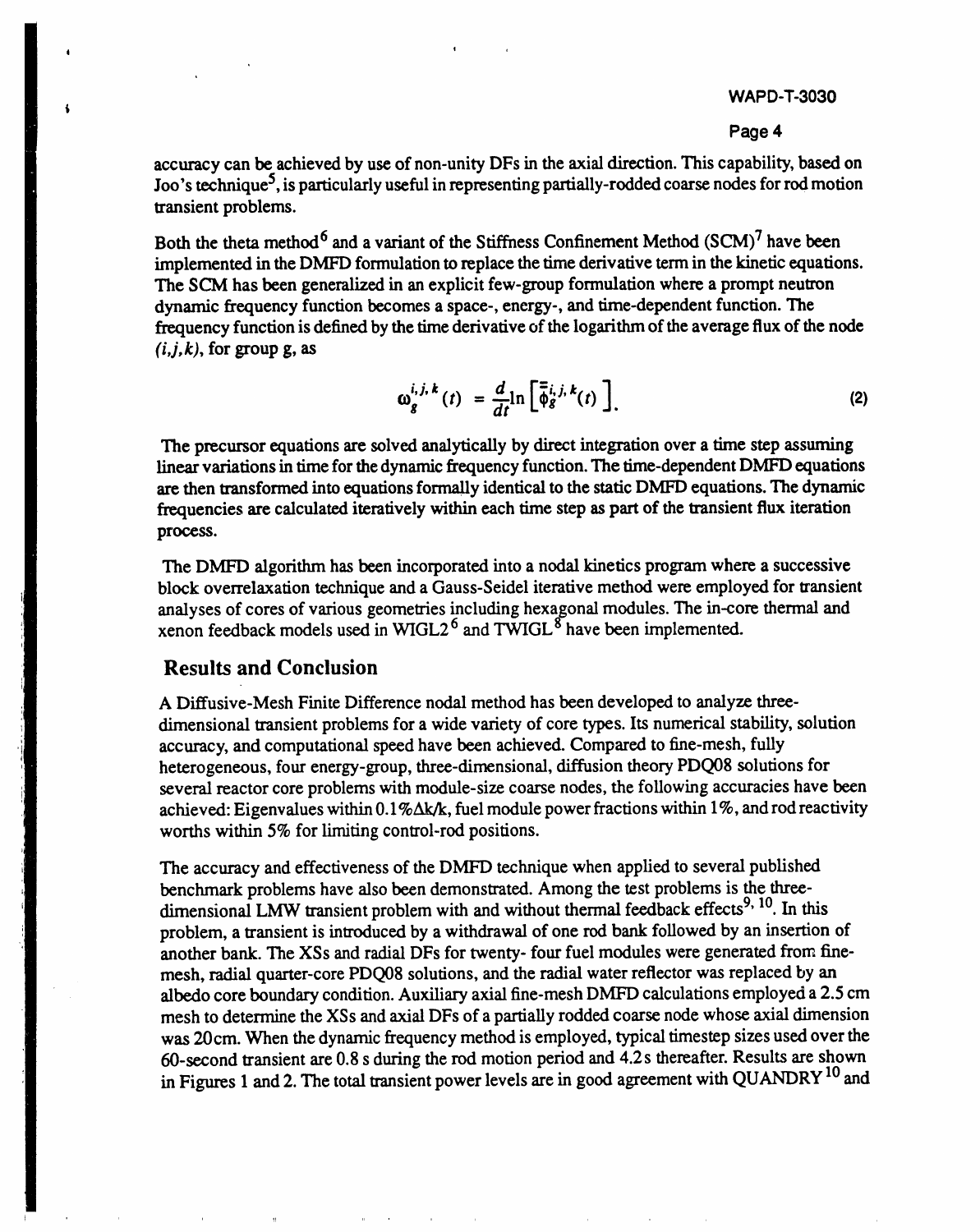#### **Pag**e **4**

accuracy can be achieved by use of non-unity DFs in the axial direction. This capability, based on Joo's technique<sup>5</sup>, is particularly useful in representing partially-rodded coarse nodes for rod motion tr**ans**ie**n**t pr**o**blem**s**.

**Both th**e them m**e**thod 6 **an**d **a vari**a**n**t **of** the **S**tiff**n**e**ss** C**onfi**nemen**t** Me**thod** (SC**M**) **7 hav**e **b**e**e**n implemented in the DMFD formulation to replace the time derivative term in the kinetic equations. **The SCM has been general**i**zed in** an **expl**i**cit few-group fo**rm**ul**ati**o**n **w**h**ere** a **prom**p**t neutron dyna**m**ic f**req**uency function beco**m**es a sp**a**ce-, energy-, and time-dependen**t **f**u**nc**ti**o**n**. The** frequency function is defined by the time derivative of the logarithm of the average flux of the node  $(i, j, k)$ , for group g, as

$$
\omega_g^{i,j,k}(t) = \frac{d}{dt} \ln \left[ \overline{\phi}_g^{i,j,k}(t) \right].
$$
 (2)

The precursor equations are solved analytically by direct integration over a time step assuming **l**i**near varia**ti**ons** in t**ime for t**h**e dynam**i**c frequency func**ti**on.** Th**e** ti**me-dependent DMFD** eq**ua**ti**ons are** th**en transform**ed **in**to **equationsformal**l**y iden**ti**c**al **to** th**e sta**ti**c DMFD equa**ti**ons.** Th**e d**yn**amic** frequencies are calculated iteratively within each time step as part of the transient flux iteration **process.**

Th**e DMFD** al**go**ri**t**hm has **been** in**corpora**ted in**to a n**od**a**l ki**ne**ti**cs p**ro**gram whe**re **a successive bloc**k **overrelaxation tec**h**nique** an**d a** G**auss-Seidel i**t**e**rat**ive** m**e**thod **were e**m**ploy**ed **for transien**t **ana**l**yses of cores of various geo**m**e**t**r**i**es including** h**exaogona**lm**odules. The** in**-co**re th**ermal and xenon fe**edb**ac**k m**odels used in** W**I**G**L2** 6 **and** *T*W**I**G**L °** h**ave been i**m**p**l**e**m**en**ted**.**

### Results and Conclusion

 $\blacksquare$ 

t

 $\ddot{\bullet}$ 

A Diffusiv**e-**Mesh Fin**i**te **D**iffere**n**ce nodal method has be**e**n dev**e**l**o**ped t**o** anal**y***z***e** threedimensional transient problems for a wide variety of core types. Its numerical stability, solution accuracy, and computational spe**e**d have been achieved. Compared to fine-mesh, fully heterogeneous, four energy-group, three-dimensional, diffusion theory PDQ08 solutions for several reactor core problems with module-size coarse nodes, the following accuracies have been achieved: Eigenvalues within 0.1% $\Delta$ k/k, fuel module power fractions within 1%, and rod reactivity worths within 5% for limiting control-rod positions.

The accuracy and effectiveness of th**e** DMFD t**e**chnique when applied t**o** several published benchmark problems have also been demonstrated. Among the t**e**st problems is the threedimensional LMW transient problem with and without thermal feedback effects<sup>9, 10</sup>. In this problem, a transient is introduced by a withdrawal of one rod bank followed by an insertion of another bank. The XSs and radial DFs for twenty- four fuel modules were generated from finemesh, radial quarter-core PDQ08 solutions, and the radial water reflector was replaced by an albedo core boundary condition. Auxiliary axial fine-mesh DMFD calculations employed a 2.5 cm mesh to determine the XSs and axial DFs of a partially rodded coarse node whose axial dimension was 20cm. When the dynamic frequency method is employed, typical timestep sizes used over the 60-second transient are 0.8 s during the rod motion period and 4.2 s the**re**after. Results are shown in Figures 1 and 2. The total transient power levels are in good agreement with QUANDRY<sup>10</sup> and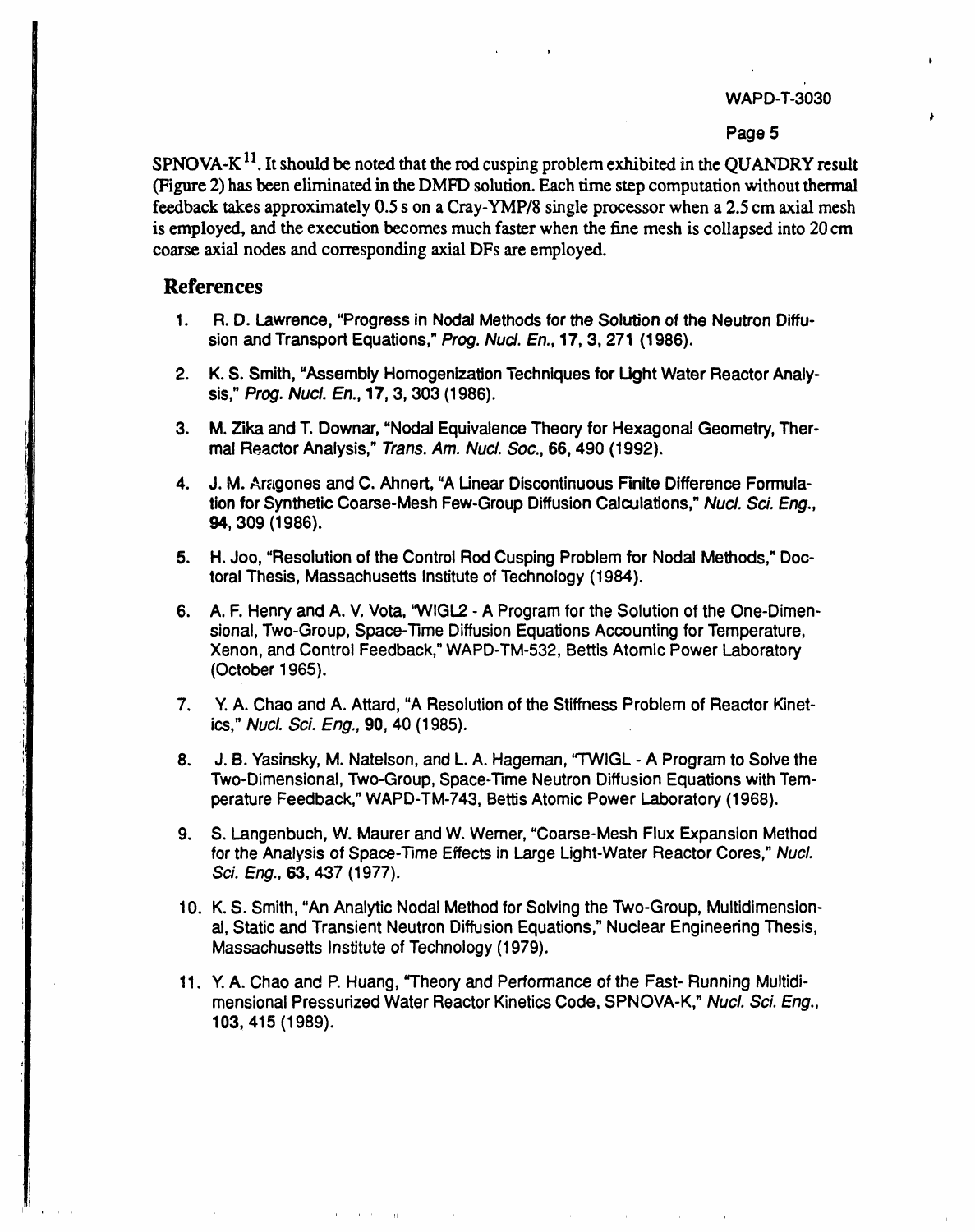#### Page 5

 $SPNOVA-K<sup>11</sup>$ . It should be noted that the rod cusping problem exhibited in the QUANDRY result (Figure 2) has been eliminated in the DMFD solution. Each time step computation without thermal feedback takes approximately 0.5 s on a Cray-YMP/8 single processor when a 2.5 cm axial mesh is employed, and the execution becomes much faster when the fine mesh is collapsed into 20 cm coarse axial nodes and corresponding axial DFs are employed.

## **References**

- 1. R. D. Lawrence, "Progress in Nodal Methods for the Solution of the Neutron Diffusion and Transport Equations," Prog. Nucl. En., 17, 3, 271 (1986).
- 2. K. S. Smith, "Assembly Homogenization Techniques for Light Water Reactor Analysis," Prog. Nucl. En., 17, 3, 303 (1986).
- 3. M. Zika and T. Downar, "Nodal Equivalence Theory for Hexagonal Geometry, Thermal Reactor Analysis," Trans. Am. Nucl. Soc., 66, 490 (1992).
- 4. J. M. Aragones and C. Ahnert, "A Linear Discontinuous Finite Difference Formulation for Synthetic Coarse-Mesh Few-Group Diffusion Calculations," Nucl. Sci. Eng., 94, 309 (1986).
- 5. H. Joo, "Resolution of the Control Rod Cusping Problem for Nodal Methods," Doctoral Thesis, Massachusetts Institute of Technology (1984).
- 6. A. F. Henry and A. V. Vota, "WIGL2 A Program for the Solution of the One-Dimensional, Two-Group, Space-Time Diffusion Equations Accounting for Temperature, Xenon, and Control Feedback," WAPD-TM-532, Bettis Atomic Power Laboratory (October 1965).
- 7. Y. A. Chao and A. Attard, "A Resolution of the Stiffness Problem of Reactor Kinetics," Nucl. Sci. Eng., 90, 40 (1985).
- 8. J. B. Yasinsky, M. Natelson, and L. A. Hageman, "TWIGL - A Program to Solve the Two-Dimensional, Two-Group, Space-Time Neutron Diffusion Equations with Temperature Feedback," WAPD-TM-743, Bettis Atomic Power Laboratory (1968).
- 9. S. Langenbuch, W. Maurer and W. Werner, "Coarse-Mesh Flux Expansion Method for the Analysis of Space-Time Effects in Large Light-Water Reactor Cores," Nucl. Sci. Eng., 63, 437 (1977).
- 10. K. S. Smith, "An Analytic Nodal Method for Solving the Two-Group, Multidimensional, Static and Transient Neutron Diffusion Equations," Nuclear Engineering Thesis, Massachusetts Institute of Technology (1979).
- 11. Y. A. Chao and P. Huang, "Theory and Performance of the Fast- Running Multidimensional Pressurized Water Reactor Kinetics Code, SPNOVA-K," Nucl. Sci. Eng., 103, 415 (1989).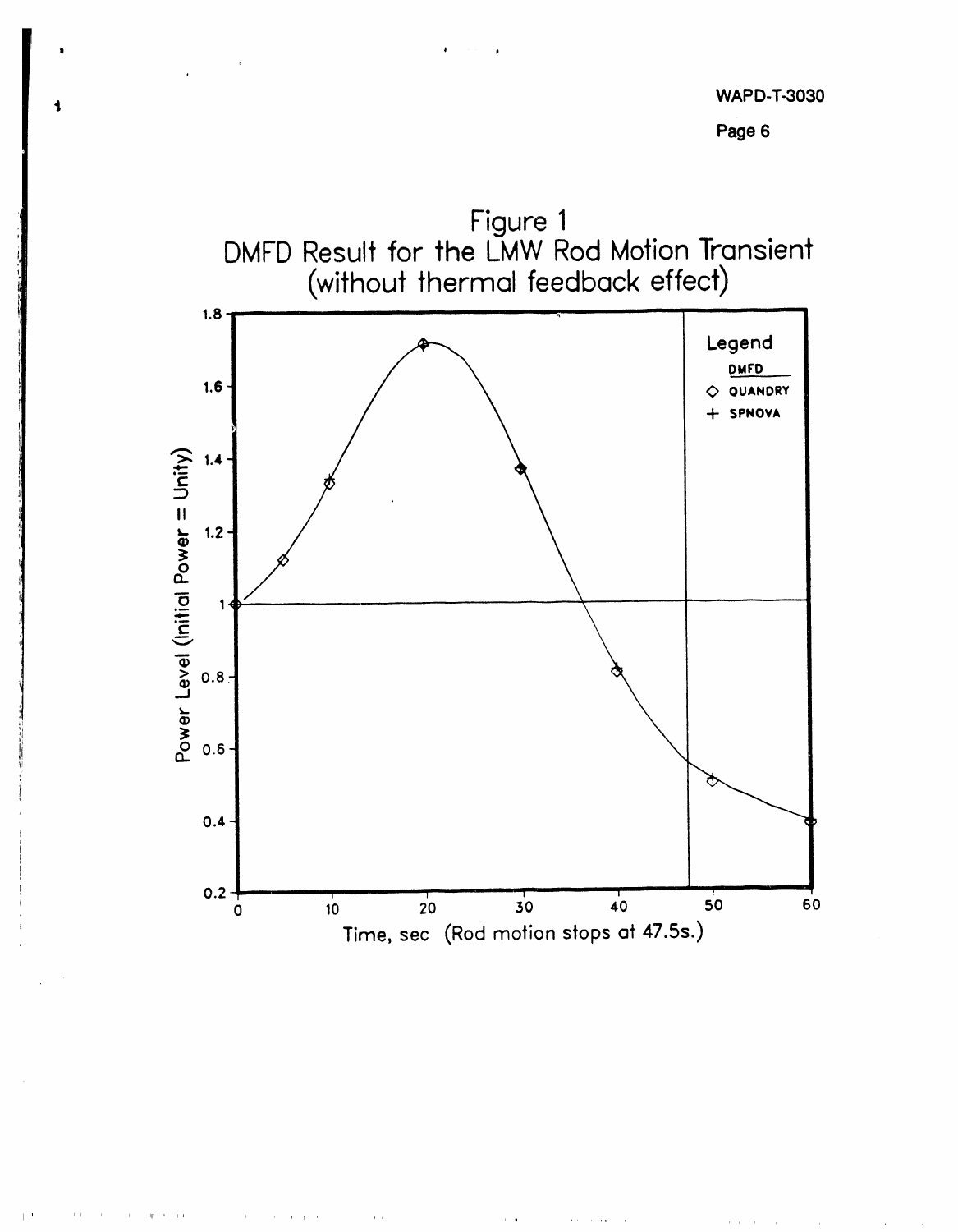



 $\mathcal{H} \rightarrow \mathcal{H}$ 

 $\sim$ 

 $\mathbf{r}=\mathbf{g}=\mathbf{r}$ 

 $\alpha$  ,  $\alpha$ 

 $\alpha = \alpha$ 

**Service Control**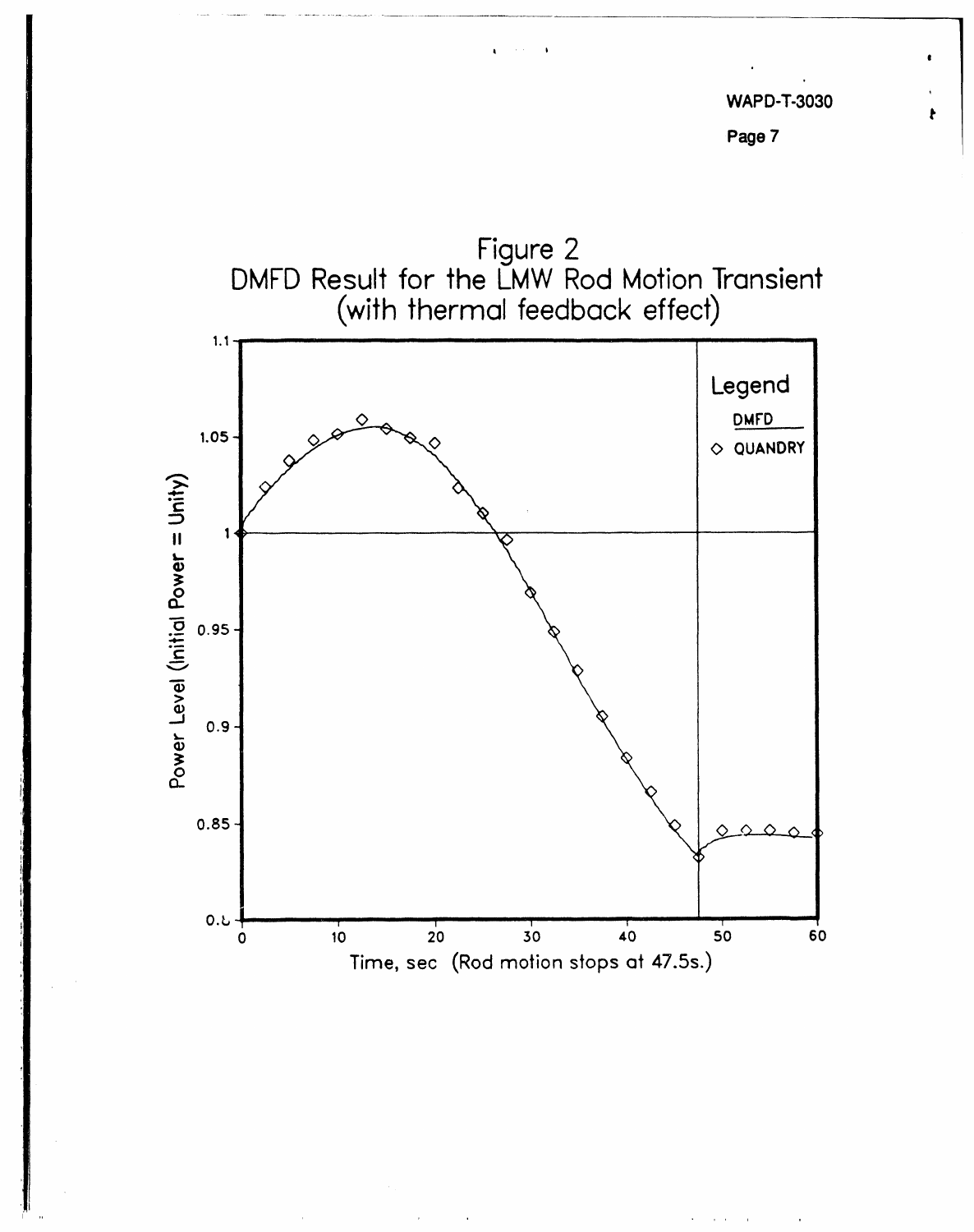$\pmb{\ast}$ 



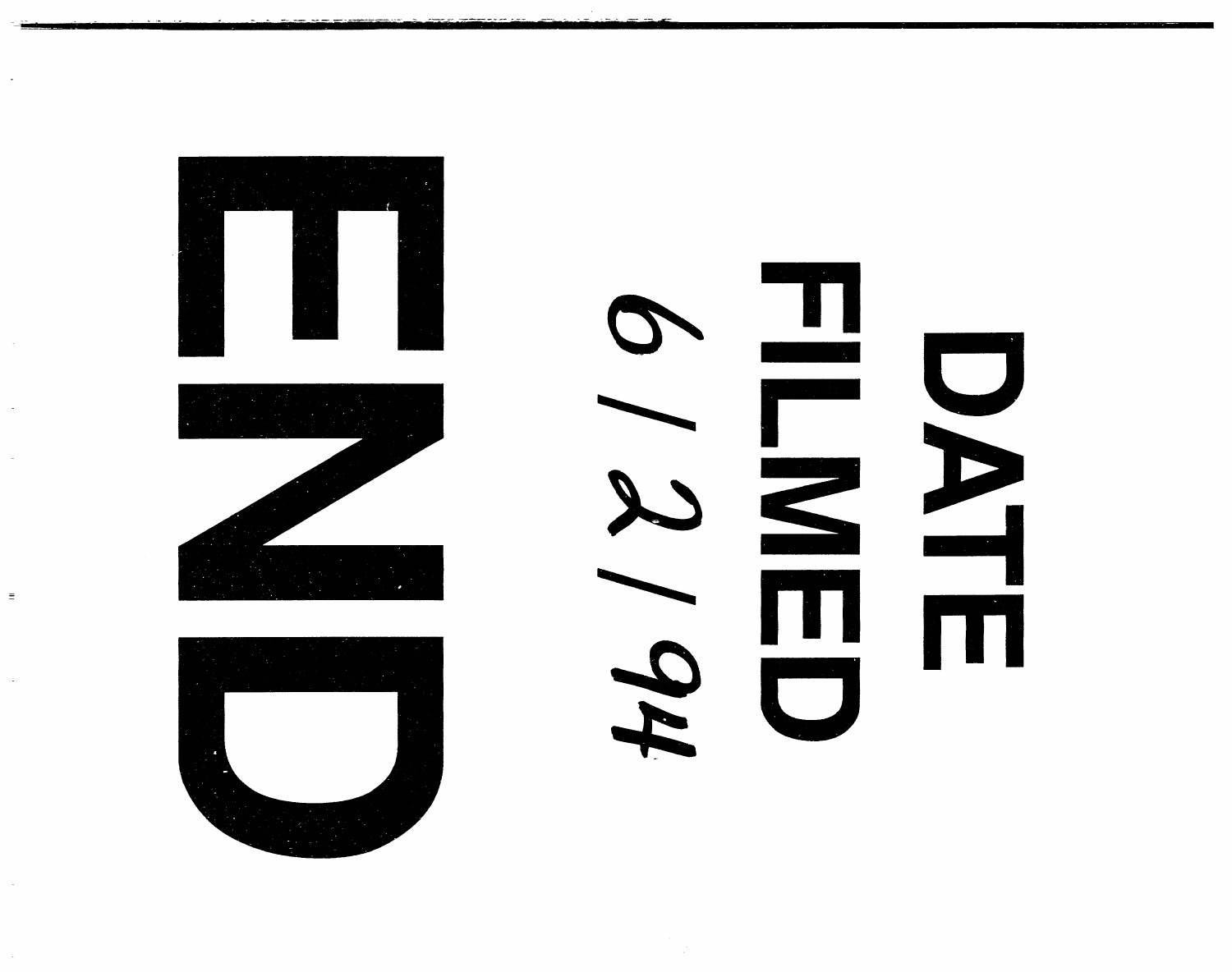

 $\equiv$ 

 $\blacksquare$